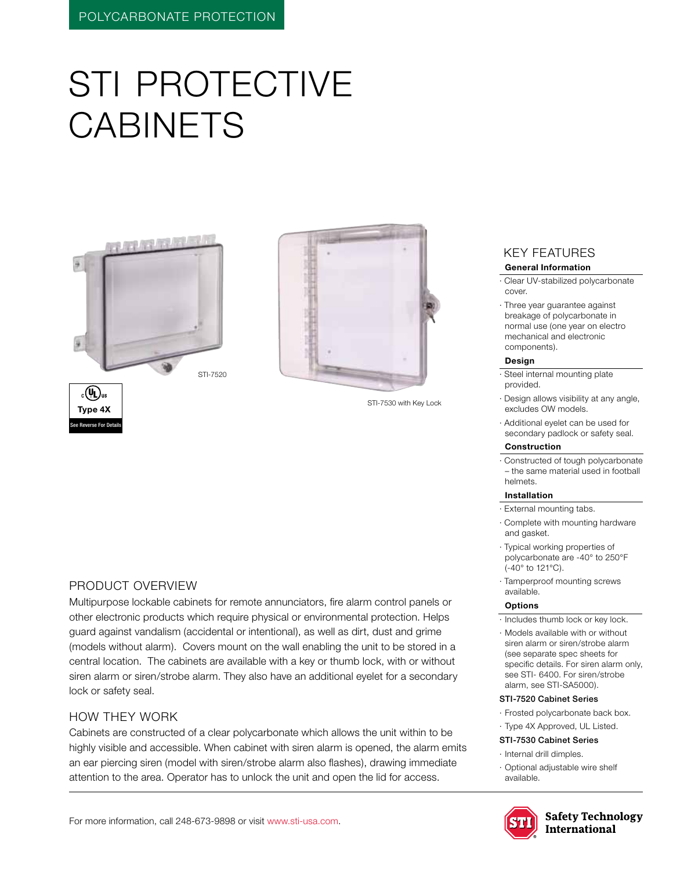# STI PROTECTIVE **CABINETS**





STI-7530 with Key Lock

#### Product Overview

Multipurpose lockable cabinets for remote annunciators, fire alarm control panels or other electronic products which require physical or environmental protection. Helps guard against vandalism (accidental or intentional), as well as dirt, dust and grime (models without alarm). Covers mount on the wall enabling the unit to be stored in a central location. The cabinets are available with a key or thumb lock, with or without siren alarm or siren/strobe alarm. They also have an additional eyelet for a secondary lock or safety seal.

#### how they work

Cabinets are constructed of a clear polycarbonate which allows the unit within to be highly visible and accessible. When cabinet with siren alarm is opened, the alarm emits an ear piercing siren (model with siren/strobe alarm also flashes), drawing immediate attention to the area. Operator has to unlock the unit and open the lid for access.

## KEY features

#### **General Information**

· Clear UV-stabilized polycarbonate cover.

· Three year guarantee against breakage of polycarbonate in normal use (one year on electro mechanical and electronic components).

#### **Design**

· Steel internal mounting plate provided.

- · Design allows visibility at any angle, excludes OW models.
- · Additional eyelet can be used for secondary padlock or safety seal.

#### **Construction**

· Constructed of tough polycarbonate – the same material used in football helmets.

#### **Installation**

- · External mounting tabs.
- · Complete with mounting hardware and gasket.
- · Typical working properties of polycarbonate are -40° to 250°F (-40° to 121°C).
- · Tamperproof mounting screws available.

#### **Options**

- · Includes thumb lock or key lock.
- · Models available with or without siren alarm or siren/strobe alarm (see separate spec sheets for specific details. For siren alarm only, see STI- 6400. For siren/strobe alarm, see STI-SA5000).

#### STI-7520 Cabinet Series

- · Frosted polycarbonate back box.
- · Type 4X Approved, UL Listed.
- STI-7530 Cabinet Series
- · Internal drill dimples.
- · Optional adjustable wire shelf available.



**Safety Technology International**